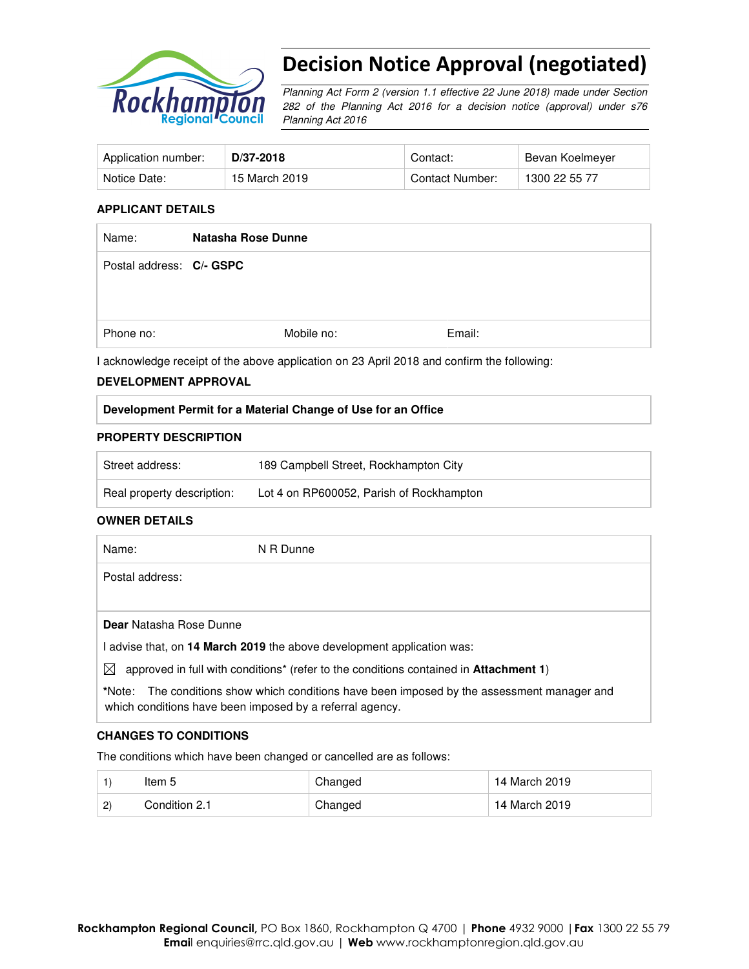

# Decision Notice Approval (negotiated)

Planning Act Form 2 (version 1.1 effective 22 June 2018) made under Section 282 of the Planning Act 2016 for a decision notice (approval) under s76 Planning Act 2016

| Application number: | D/37-2018     | Contact:        | Bevan Koelmeyer |
|---------------------|---------------|-----------------|-----------------|
| Notice Date:        | 15 March 2019 | Contact Number: | 1300 22 55 77   |

## **APPLICANT DETAILS**

| Name:                    | Natasha Rose Dunne |            |        |
|--------------------------|--------------------|------------|--------|
| Postal address: C/- GSPC |                    |            |        |
| Phone no:                |                    | Mobile no: | Email: |

I acknowledge receipt of the above application on 23 April 2018 and confirm the following:

#### **DEVELOPMENT APPROVAL**

#### **PROPERTY DESCRIPTION**

| Street address:            | 189 Campbell Street, Rockhampton City    |
|----------------------------|------------------------------------------|
| Real property description: | Lot 4 on RP600052, Parish of Rockhampton |

#### **OWNER DETAILS**

| Name:           | N R Dunne                                                                                                 |  |
|-----------------|-----------------------------------------------------------------------------------------------------------|--|
| Postal address: |                                                                                                           |  |
|                 |                                                                                                           |  |
|                 | <b>Dear</b> Natasha Rose Dunne                                                                            |  |
|                 | l advise that, on 14 March 2019 the above development application was:                                    |  |
| $\bowtie$       | approved in full with conditions <sup>*</sup> (refer to the conditions contained in <b>Attachment 1</b> ) |  |
|                 | *Note: The conditions show which conditions have been imposed by the assessment manager and               |  |

#### **CHANGES TO CONDITIONS**

The conditions which have been changed or cancelled are as follows:

which conditions have been imposed by a referral agency.

|              | ltem 5        | Changed | 14 March 2019 |
|--------------|---------------|---------|---------------|
| $\mathbf{2}$ | Condition 2.1 | Changed | 14 March 2019 |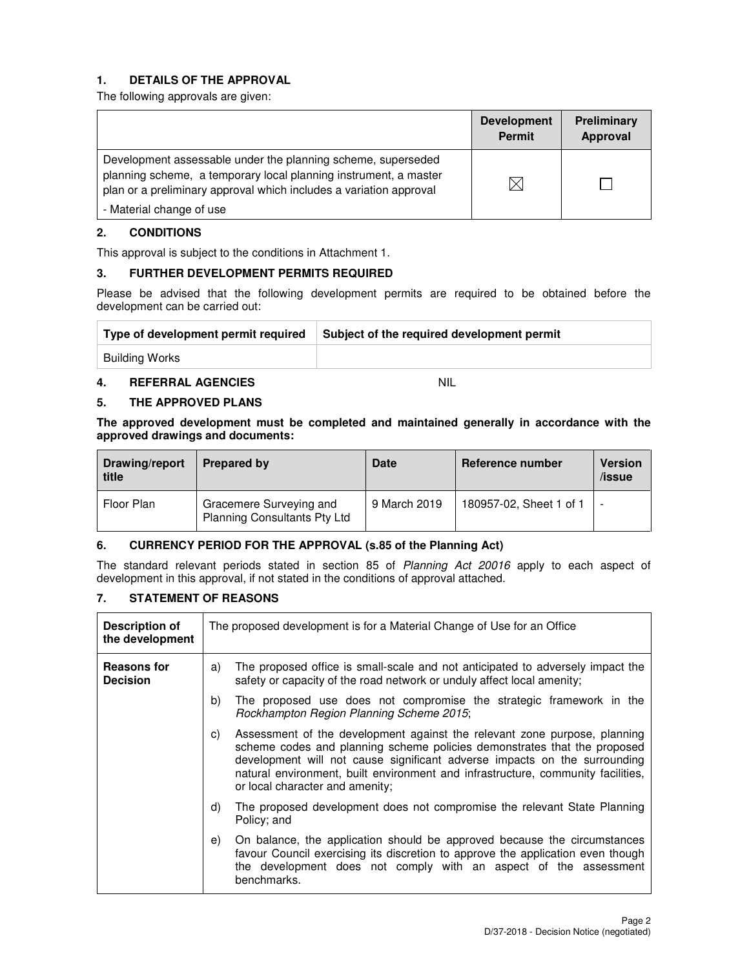# **1. DETAILS OF THE APPROVAL**

The following approvals are given:

|                                                                                                                                                                                                                                    | <b>Development</b><br><b>Permit</b> | <b>Preliminary</b><br>Approval |
|------------------------------------------------------------------------------------------------------------------------------------------------------------------------------------------------------------------------------------|-------------------------------------|--------------------------------|
| Development assessable under the planning scheme, superseded<br>planning scheme, a temporary local planning instrument, a master<br>plan or a preliminary approval which includes a variation approval<br>- Material change of use | $\times$                            |                                |

# **2. CONDITIONS**

This approval is subject to the conditions in Attachment 1.

## **3. FURTHER DEVELOPMENT PERMITS REQUIRED**

Please be advised that the following development permits are required to be obtained before the development can be carried out:

| Type of development permit required | Subject of the required development permit |  |
|-------------------------------------|--------------------------------------------|--|
| Building Works                      |                                            |  |

# **4. REFERRAL AGENCIES** NIL

#### **5. THE APPROVED PLANS**

**The approved development must be completed and maintained generally in accordance with the approved drawings and documents:** 

| Drawing/report<br>title | <b>Prepared by</b>                                      | Date         | Reference number        | <b>Version</b><br>/issue |
|-------------------------|---------------------------------------------------------|--------------|-------------------------|--------------------------|
| Floor Plan              | Gracemere Surveying and<br>Planning Consultants Pty Ltd | 9 March 2019 | 180957-02, Sheet 1 of 1 |                          |

# **6. CURRENCY PERIOD FOR THE APPROVAL (s.85 of the Planning Act)**

The standard relevant periods stated in section 85 of Planning Act 20016 apply to each aspect of development in this approval, if not stated in the conditions of approval attached.

# **7. STATEMENT OF REASONS**

| Description of<br>the development     | The proposed development is for a Material Change of Use for an Office                                                                                                                                                                                                                                                                                          |
|---------------------------------------|-----------------------------------------------------------------------------------------------------------------------------------------------------------------------------------------------------------------------------------------------------------------------------------------------------------------------------------------------------------------|
| <b>Reasons for</b><br><b>Decision</b> | The proposed office is small-scale and not anticipated to adversely impact the<br>a)<br>safety or capacity of the road network or unduly affect local amenity;                                                                                                                                                                                                  |
|                                       | b)<br>The proposed use does not compromise the strategic framework in the<br>Rockhampton Region Planning Scheme 2015;                                                                                                                                                                                                                                           |
|                                       | Assessment of the development against the relevant zone purpose, planning<br>C)<br>scheme codes and planning scheme policies demonstrates that the proposed<br>development will not cause significant adverse impacts on the surrounding<br>natural environment, built environment and infrastructure, community facilities,<br>or local character and amenity; |
|                                       | d)<br>The proposed development does not compromise the relevant State Planning<br>Policy; and                                                                                                                                                                                                                                                                   |
|                                       | On balance, the application should be approved because the circumstances<br>e)<br>favour Council exercising its discretion to approve the application even though<br>the development does not comply with an aspect of the assessment<br>benchmarks.                                                                                                            |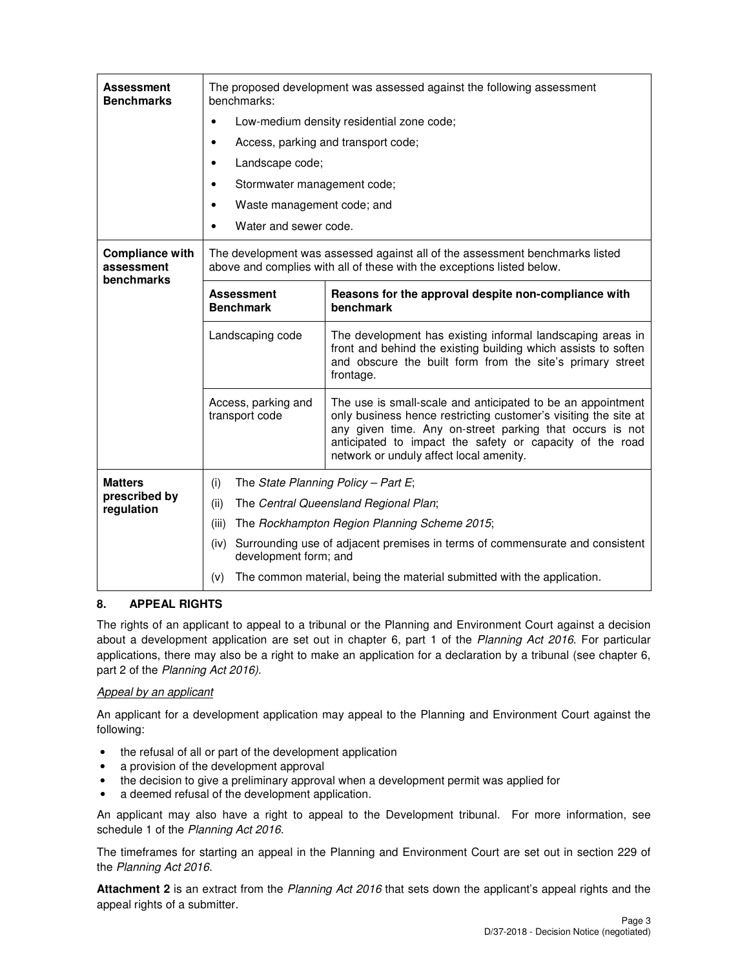| <b>Assessment</b><br><b>Benchmarks</b>             | The proposed development was assessed against the following assessment<br>benchmarks:<br>Low-medium density residential zone code;<br>$\bullet$<br>Access, parking and transport code;<br>Landscape code;<br>$\bullet$<br>Stormwater management code;<br>Waste management code; and<br>Water and sewer code. |                                                                                                                                                                                                                                                                                                   |  |
|----------------------------------------------------|--------------------------------------------------------------------------------------------------------------------------------------------------------------------------------------------------------------------------------------------------------------------------------------------------------------|---------------------------------------------------------------------------------------------------------------------------------------------------------------------------------------------------------------------------------------------------------------------------------------------------|--|
| <b>Compliance with</b><br>assessment<br>benchmarks | The development was assessed against all of the assessment benchmarks listed<br>above and complies with all of these with the exceptions listed below.                                                                                                                                                       |                                                                                                                                                                                                                                                                                                   |  |
|                                                    | <b>Assessment</b><br><b>Benchmark</b>                                                                                                                                                                                                                                                                        | Reasons for the approval despite non-compliance with<br>benchmark                                                                                                                                                                                                                                 |  |
|                                                    | Landscaping code                                                                                                                                                                                                                                                                                             | The development has existing informal landscaping areas in<br>front and behind the existing building which assists to soften<br>and obscure the built form from the site's primary street<br>frontage.                                                                                            |  |
|                                                    | Access, parking and<br>transport code                                                                                                                                                                                                                                                                        | The use is small-scale and anticipated to be an appointment<br>only business hence restricting customer's visiting the site at<br>any given time. Any on-street parking that occurs is not<br>anticipated to impact the safety or capacity of the road<br>network or unduly affect local amenity. |  |
| <b>Matters</b><br>prescribed by                    | The State Planning Policy - Part E;<br>(i)                                                                                                                                                                                                                                                                   |                                                                                                                                                                                                                                                                                                   |  |
| regulation                                         | (ii)<br>The Central Queensland Regional Plan;                                                                                                                                                                                                                                                                |                                                                                                                                                                                                                                                                                                   |  |
|                                                    | The Rockhampton Region Planning Scheme 2015;<br>(iii)                                                                                                                                                                                                                                                        |                                                                                                                                                                                                                                                                                                   |  |
|                                                    | (iv)<br>development form; and                                                                                                                                                                                                                                                                                | Surrounding use of adjacent premises in terms of commensurate and consistent                                                                                                                                                                                                                      |  |
|                                                    | The common material, being the material submitted with the application.<br>(v)                                                                                                                                                                                                                               |                                                                                                                                                                                                                                                                                                   |  |

# **8. APPEAL RIGHTS**

The rights of an applicant to appeal to a tribunal or the Planning and Environment Court against a decision about a development application are set out in chapter 6, part 1 of the Planning Act 2016. For particular applications, there may also be a right to make an application for a declaration by a tribunal (see chapter 6, part 2 of the Planning Act 2016).

## Appeal by an applicant

An applicant for a development application may appeal to the Planning and Environment Court against the following:

- the refusal of all or part of the development application
- a provision of the development approval
- the decision to give a preliminary approval when a development permit was applied for
- a deemed refusal of the development application.

An applicant may also have a right to appeal to the Development tribunal. For more information, see schedule 1 of the Planning Act 2016.

The timeframes for starting an appeal in the Planning and Environment Court are set out in section 229 of the Planning Act 2016.

**Attachment 2** is an extract from the Planning Act 2016 that sets down the applicant's appeal rights and the appeal rights of a submitter.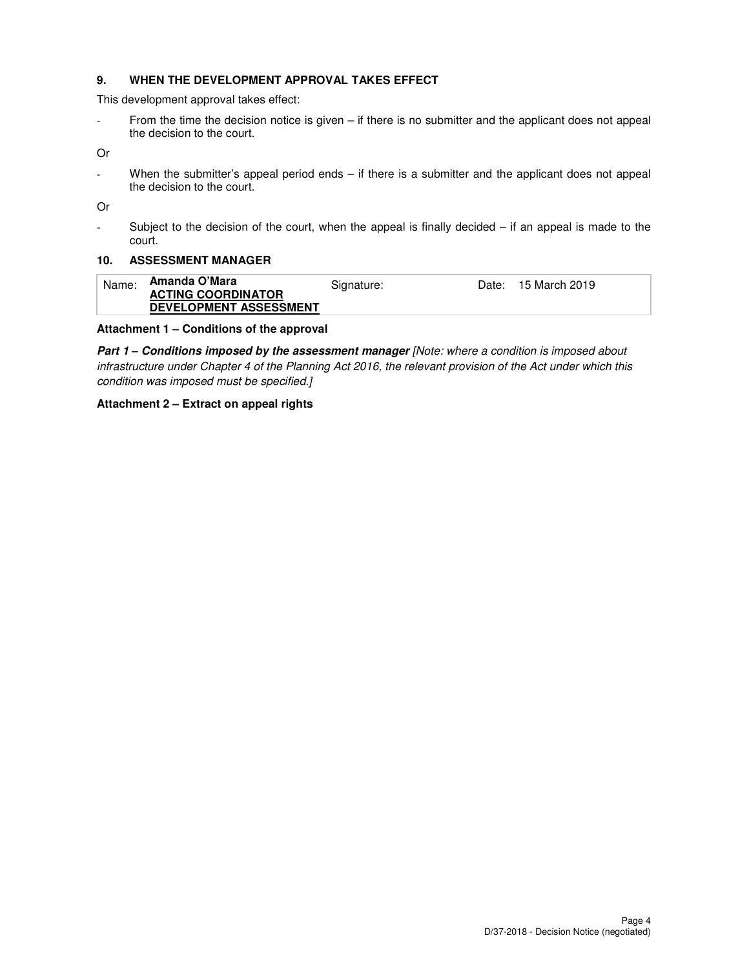# **9. WHEN THE DEVELOPMENT APPROVAL TAKES EFFECT**

This development approval takes effect:

- From the time the decision notice is given – if there is no submitter and the applicant does not appeal the decision to the court.

Or

- When the submitter's appeal period ends – if there is a submitter and the applicant does not appeal the decision to the court.

Or

- Subject to the decision of the court, when the appeal is finally decided – if an appeal is made to the court.

#### **10. ASSESSMENT MANAGER**

#### **Attachment 1 – Conditions of the approval**

**Part 1 – Conditions imposed by the assessment manager** *[Note: where a condition is imposed about* infrastructure under Chapter 4 of the Planning Act 2016, the relevant provision of the Act under which this condition was imposed must be specified.]

#### **Attachment 2 – Extract on appeal rights**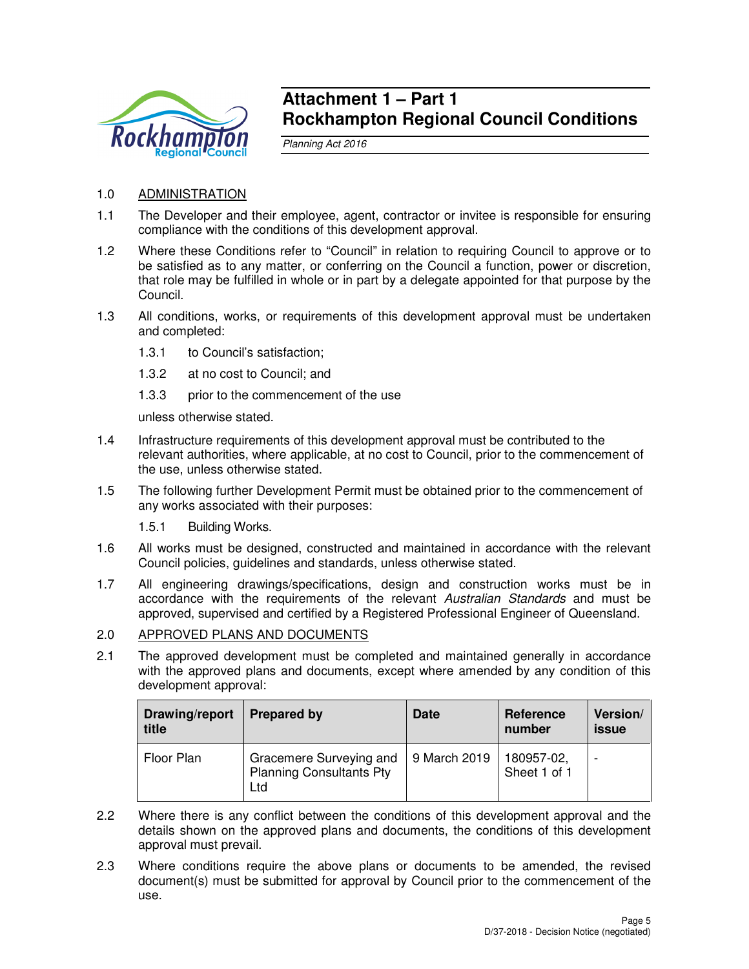

# **Attachment 1 – Part 1 Rockhampton Regional Council Conditions**

Planning Act 2016

# 1.0 ADMINISTRATION

- 1.1 The Developer and their employee, agent, contractor or invitee is responsible for ensuring compliance with the conditions of this development approval.
- 1.2 Where these Conditions refer to "Council" in relation to requiring Council to approve or to be satisfied as to any matter, or conferring on the Council a function, power or discretion, that role may be fulfilled in whole or in part by a delegate appointed for that purpose by the Council.
- 1.3 All conditions, works, or requirements of this development approval must be undertaken and completed:
	- 1.3.1 to Council's satisfaction;
	- 1.3.2 at no cost to Council; and
	- 1.3.3 prior to the commencement of the use

unless otherwise stated.

- 1.4 Infrastructure requirements of this development approval must be contributed to the relevant authorities, where applicable, at no cost to Council, prior to the commencement of the use, unless otherwise stated.
- 1.5 The following further Development Permit must be obtained prior to the commencement of any works associated with their purposes:
	- 1.5.1 Building Works.
- 1.6 All works must be designed, constructed and maintained in accordance with the relevant Council policies, guidelines and standards, unless otherwise stated.
- 1.7 All engineering drawings/specifications, design and construction works must be in accordance with the requirements of the relevant Australian Standards and must be approved, supervised and certified by a Registered Professional Engineer of Queensland.
- 2.0 APPROVED PLANS AND DOCUMENTS
- 2.1 The approved development must be completed and maintained generally in accordance with the approved plans and documents, except where amended by any condition of this development approval:

| Drawing/report<br>title | <b>Prepared by</b>                                                | <b>Date</b>  | Reference<br>number        | Version/<br><b>issue</b> |
|-------------------------|-------------------------------------------------------------------|--------------|----------------------------|--------------------------|
| I Floor Plan            | Gracemere Surveying and<br><b>Planning Consultants Pty</b><br>Ltd | 9 March 2019 | 180957-02,<br>Sheet 1 of 1 | -                        |

- 2.2 Where there is any conflict between the conditions of this development approval and the details shown on the approved plans and documents, the conditions of this development approval must prevail.
- 2.3 Where conditions require the above plans or documents to be amended, the revised document(s) must be submitted for approval by Council prior to the commencement of the use.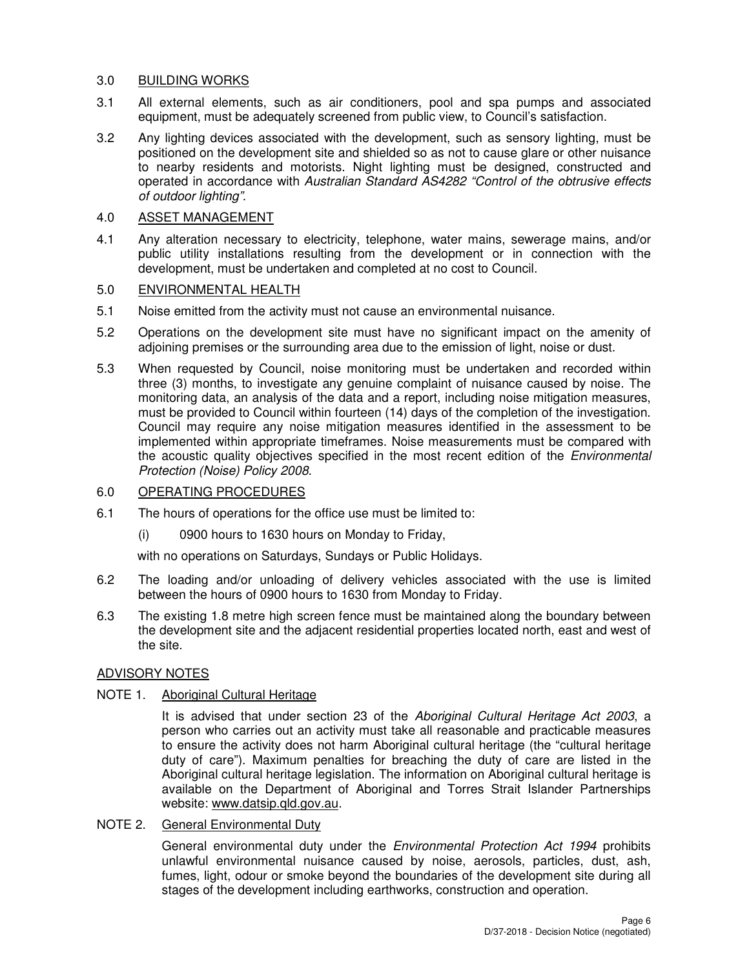# 3.0 BUILDING WORKS

- 3.1 All external elements, such as air conditioners, pool and spa pumps and associated equipment, must be adequately screened from public view, to Council's satisfaction.
- 3.2 Any lighting devices associated with the development, such as sensory lighting, must be positioned on the development site and shielded so as not to cause glare or other nuisance to nearby residents and motorists. Night lighting must be designed, constructed and operated in accordance with Australian Standard AS4282 "Control of the obtrusive effects of outdoor lighting".

# 4.0 ASSET MANAGEMENT

4.1 Any alteration necessary to electricity, telephone, water mains, sewerage mains, and/or public utility installations resulting from the development or in connection with the development, must be undertaken and completed at no cost to Council.

# 5.0 ENVIRONMENTAL HEALTH

- 5.1 Noise emitted from the activity must not cause an environmental nuisance.
- 5.2 Operations on the development site must have no significant impact on the amenity of adjoining premises or the surrounding area due to the emission of light, noise or dust.
- 5.3 When requested by Council, noise monitoring must be undertaken and recorded within three (3) months, to investigate any genuine complaint of nuisance caused by noise. The monitoring data, an analysis of the data and a report, including noise mitigation measures, must be provided to Council within fourteen (14) days of the completion of the investigation. Council may require any noise mitigation measures identified in the assessment to be implemented within appropriate timeframes. Noise measurements must be compared with the acoustic quality objectives specified in the most recent edition of the *Environmental* Protection (Noise) Policy 2008.

# 6.0 OPERATING PROCEDURES

- 6.1 The hours of operations for the office use must be limited to:
	- (i) 0900 hours to 1630 hours on Monday to Friday,

with no operations on Saturdays, Sundays or Public Holidays.

- 6.2 The loading and/or unloading of delivery vehicles associated with the use is limited between the hours of 0900 hours to 1630 from Monday to Friday.
- 6.3 The existing 1.8 metre high screen fence must be maintained along the boundary between the development site and the adjacent residential properties located north, east and west of the site.

## ADVISORY NOTES

## NOTE 1. Aboriginal Cultural Heritage

It is advised that under section 23 of the Aboriginal Cultural Heritage Act 2003, a person who carries out an activity must take all reasonable and practicable measures to ensure the activity does not harm Aboriginal cultural heritage (the "cultural heritage duty of care"). Maximum penalties for breaching the duty of care are listed in the Aboriginal cultural heritage legislation. The information on Aboriginal cultural heritage is available on the Department of Aboriginal and Torres Strait Islander Partnerships website: www.datsip.qld.gov.au.

## NOTE 2. General Environmental Duty

General environmental duty under the *Environmental Protection Act 1994* prohibits unlawful environmental nuisance caused by noise, aerosols, particles, dust, ash, fumes, light, odour or smoke beyond the boundaries of the development site during all stages of the development including earthworks, construction and operation.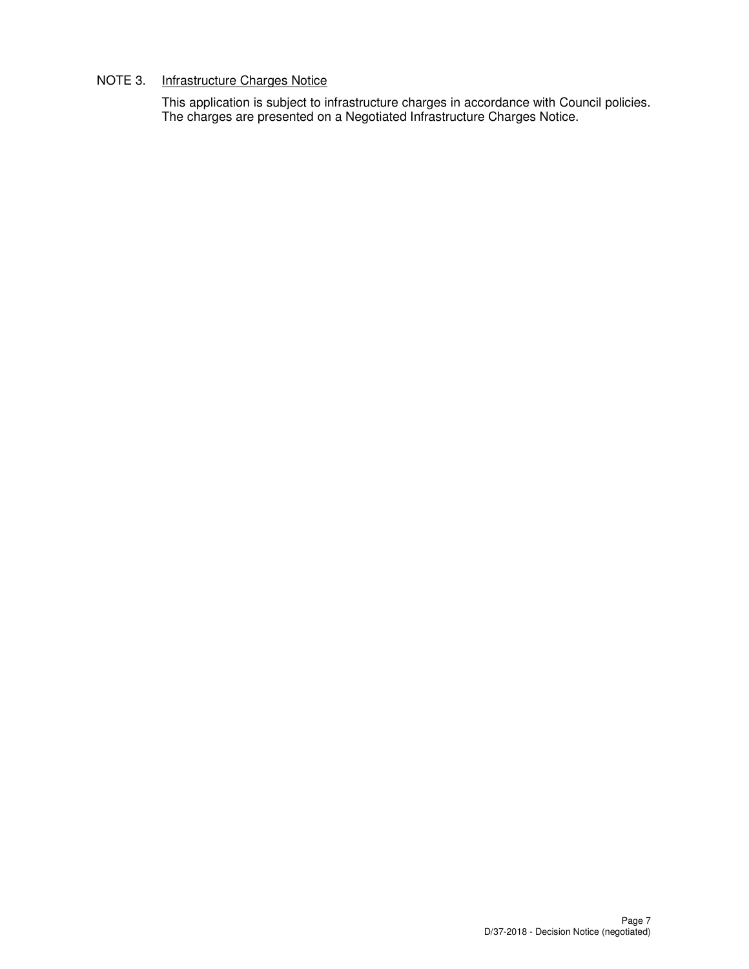# NOTE 3. Infrastructure Charges Notice

This application is subject to infrastructure charges in accordance with Council policies. The charges are presented on a Negotiated Infrastructure Charges Notice.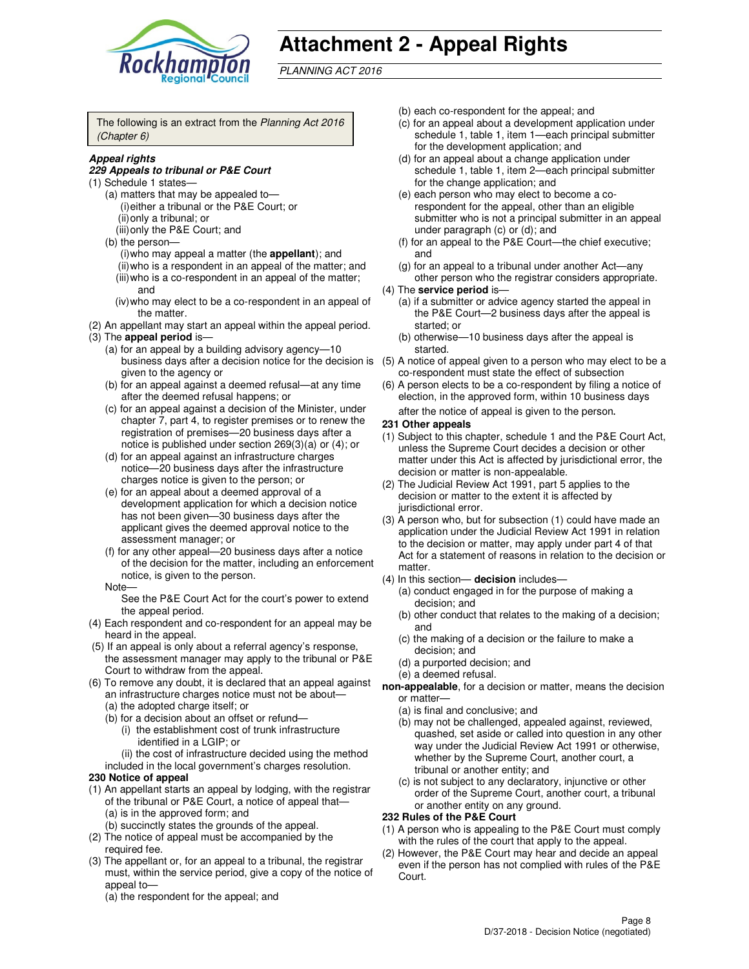

# **Attachment 2 - Appeal Rights**

PLANNING ACT 2016

The following is an extract from the Planning Act 2016 (Chapter 6)

#### **Appeal rights**

#### **229 Appeals to tribunal or P&E Court**

- (1) Schedule 1 states—
	- (a) matters that may be appealed to— (i) either a tribunal or the P&E Court; or (ii) only a tribunal; or (iii) only the P&E Court; and
	- (b) the person—
		- (i) who may appeal a matter (the **appellant**); and (ii) who is a respondent in an appeal of the matter; and (iii) who is a co-respondent in an appeal of the matter; and
		- (iv) who may elect to be a co-respondent in an appeal of the matter.
- (2) An appellant may start an appeal within the appeal period.
- (3) The **appeal period** is—
	- (a) for an appeal by a building advisory agency—10 given to the agency or
	- (b) for an appeal against a deemed refusal—at any time after the deemed refusal happens; or
	- (c) for an appeal against a decision of the Minister, under chapter 7, part 4, to register premises or to renew the registration of premises—20 business days after a notice is published under section 269(3)(a) or (4); or
	- (d) for an appeal against an infrastructure charges notice—20 business days after the infrastructure charges notice is given to the person; or
	- (e) for an appeal about a deemed approval of a development application for which a decision notice has not been given—30 business days after the applicant gives the deemed approval notice to the assessment manager; or
	- (f) for any other appeal—20 business days after a notice of the decision for the matter, including an enforcement notice, is given to the person.

#### Note—

- See the P&E Court Act for the court's power to extend the appeal period.
- (4) Each respondent and co-respondent for an appeal may be heard in the appeal.
- (5) If an appeal is only about a referral agency's response, the assessment manager may apply to the tribunal or P&E Court to withdraw from the appeal.
- (6) To remove any doubt, it is declared that an appeal against an infrastructure charges notice must not be about—
	- (a) the adopted charge itself; or
	- (b) for a decision about an offset or refund—
		- (i) the establishment cost of trunk infrastructure identified in a LGIP; or

(ii) the cost of infrastructure decided using the method included in the local government's charges resolution.

- **230 Notice of appeal**
- (1) An appellant starts an appeal by lodging, with the registrar of the tribunal or P&E Court, a notice of appeal that— (a) is in the approved form; and
	- (b) succinctly states the grounds of the appeal.
- (2) The notice of appeal must be accompanied by the required fee.
- (3) The appellant or, for an appeal to a tribunal, the registrar must, within the service period, give a copy of the notice of appeal to—
	- (a) the respondent for the appeal; and
- (b) each co-respondent for the appeal; and
- (c) for an appeal about a development application under schedule 1, table 1, item 1—each principal submitter for the development application; and
- (d) for an appeal about a change application under schedule 1, table 1, item 2—each principal submitter for the change application; and
- (e) each person who may elect to become a corespondent for the appeal, other than an eligible submitter who is not a principal submitter in an appeal under paragraph (c) or (d); and
- (f) for an appeal to the P&E Court—the chief executive; and
- (g) for an appeal to a tribunal under another Act—any other person who the registrar considers appropriate.
- (4) The **service period** is—
	- (a) if a submitter or advice agency started the appeal in the P&E Court—2 business days after the appeal is started; or
	- (b) otherwise—10 business days after the appeal is started.
- business days after a decision notice for the decision is (5) A notice of appeal given to a person who may elect to be a co-respondent must state the effect of subsection
	- (6) A person elects to be a co-respondent by filing a notice of election, in the approved form, within 10 business days after the notice of appeal is given to the person*.*

#### **231 Other appeals**

- (1) Subject to this chapter, schedule 1 and the P&E Court Act, unless the Supreme Court decides a decision or other matter under this Act is affected by jurisdictional error, the decision or matter is non-appealable.
- (2) The Judicial Review Act 1991, part 5 applies to the decision or matter to the extent it is affected by jurisdictional error.
- (3) A person who, but for subsection (1) could have made an application under the Judicial Review Act 1991 in relation to the decision or matter, may apply under part 4 of that Act for a statement of reasons in relation to the decision or matter.
- (4) In this section— **decision** includes—
	- (a) conduct engaged in for the purpose of making a decision; and
	- (b) other conduct that relates to the making of a decision; and
	- (c) the making of a decision or the failure to make a decision; and
	- (d) a purported decision; and
	- (e) a deemed refusal.

**non-appealable**, for a decision or matter, means the decision or matter—

- (a) is final and conclusive; and
- (b) may not be challenged, appealed against, reviewed, quashed, set aside or called into question in any other way under the Judicial Review Act 1991 or otherwise, whether by the Supreme Court, another court, a tribunal or another entity; and
- (c) is not subject to any declaratory, injunctive or other order of the Supreme Court, another court, a tribunal or another entity on any ground.

#### **232 Rules of the P&E Court**

- (1) A person who is appealing to the P&E Court must comply with the rules of the court that apply to the appeal.
- (2) However, the P&E Court may hear and decide an appeal even if the person has not complied with rules of the P&E Court.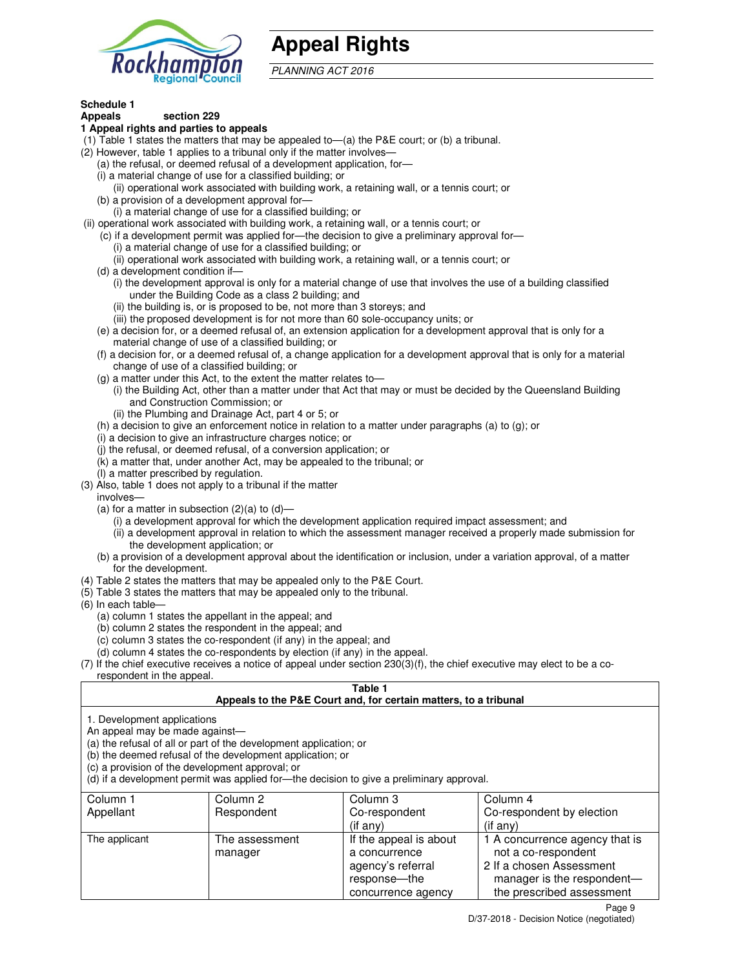

# **Appeal Rights**

PLANNING ACT 2016

# **Schedule 1**

#### **Appeals section 229 1 Appeal rights and parties to appeals**

- (1) Table 1 states the matters that may be appealed to—(a) the P&E court; or (b) a tribunal.
- (2) However, table 1 applies to a tribunal only if the matter involves—
	- (a) the refusal, or deemed refusal of a development application, for—
	- (i) a material change of use for a classified building; or
	- (ii) operational work associated with building work, a retaining wall, or a tennis court; or
	- (b) a provision of a development approval for—
	- (i) a material change of use for a classified building; or
- (ii) operational work associated with building work, a retaining wall, or a tennis court; or
	- (c) if a development permit was applied for—the decision to give a preliminary approval for—
		- (i) a material change of use for a classified building; or
		- (ii) operational work associated with building work, a retaining wall, or a tennis court; or
	- (d) a development condition if—
		- (i) the development approval is only for a material change of use that involves the use of a building classified under the Building Code as a class 2 building; and
		- (ii) the building is, or is proposed to be, not more than 3 storeys; and
		- (iii) the proposed development is for not more than 60 sole-occupancy units; or
	- (e) a decision for, or a deemed refusal of, an extension application for a development approval that is only for a material change of use of a classified building; or
	- (f) a decision for, or a deemed refusal of, a change application for a development approval that is only for a material change of use of a classified building; or
	- (g) a matter under this Act, to the extent the matter relates to—
		- (i) the Building Act, other than a matter under that Act that may or must be decided by the Queensland Building and Construction Commission; or
		- (ii) the Plumbing and Drainage Act, part 4 or 5; or
	- (h) a decision to give an enforcement notice in relation to a matter under paragraphs (a) to (g); or
	- (i) a decision to give an infrastructure charges notice; or
	- (j) the refusal, or deemed refusal, of a conversion application; or
	- (k) a matter that, under another Act, may be appealed to the tribunal; or
	- (l) a matter prescribed by regulation.
- (3) Also, table 1 does not apply to a tribunal if the matter
- involves—
	- (a) for a matter in subsection  $(2)(a)$  to  $(d)$ 
		- (i) a development approval for which the development application required impact assessment; and
		- (ii) a development approval in relation to which the assessment manager received a properly made submission for the development application; or
	- (b) a provision of a development approval about the identification or inclusion, under a variation approval, of a matter for the development.
- (4) Table 2 states the matters that may be appealed only to the P&E Court.
- (5) Table 3 states the matters that may be appealed only to the tribunal.
- (6) In each table—
	- (a) column 1 states the appellant in the appeal; and
	- (b) column 2 states the respondent in the appeal; and
	- (c) column 3 states the co-respondent (if any) in the appeal; and
	- (d) column 4 states the co-respondents by election (if any) in the appeal.
- $(7)$  If the chief executive receives a notice of appeal under section  $230(3)(f)$ , the chief executive may elect to be a corespondent in the appeal.

# **Table 1**

#### **Appeals to the P&E Court and, for certain matters, to a tribunal**

1. Development applications

An appeal may be made against—

(a) the refusal of all or part of the development application; or

(b) the deemed refusal of the development application; or

(c) a provision of the development approval; or

(d) if a development permit was applied for—the decision to give a preliminary approval.

| Column 1<br>Appellant | Column 2<br>Respondent    | Column 3<br>Co-respondent                                                                            | Column 4<br>Co-respondent by election                                                                                                        |
|-----------------------|---------------------------|------------------------------------------------------------------------------------------------------|----------------------------------------------------------------------------------------------------------------------------------------------|
|                       |                           | $($ if any $)$                                                                                       | $($ if any $)$                                                                                                                               |
| The applicant         | The assessment<br>manager | If the appeal is about<br>a concurrence<br>agency's referral<br>response---the<br>concurrence agency | 1 A concurrence agency that is<br>not a co-respondent<br>2 If a chosen Assessment<br>manager is the respondent-<br>the prescribed assessment |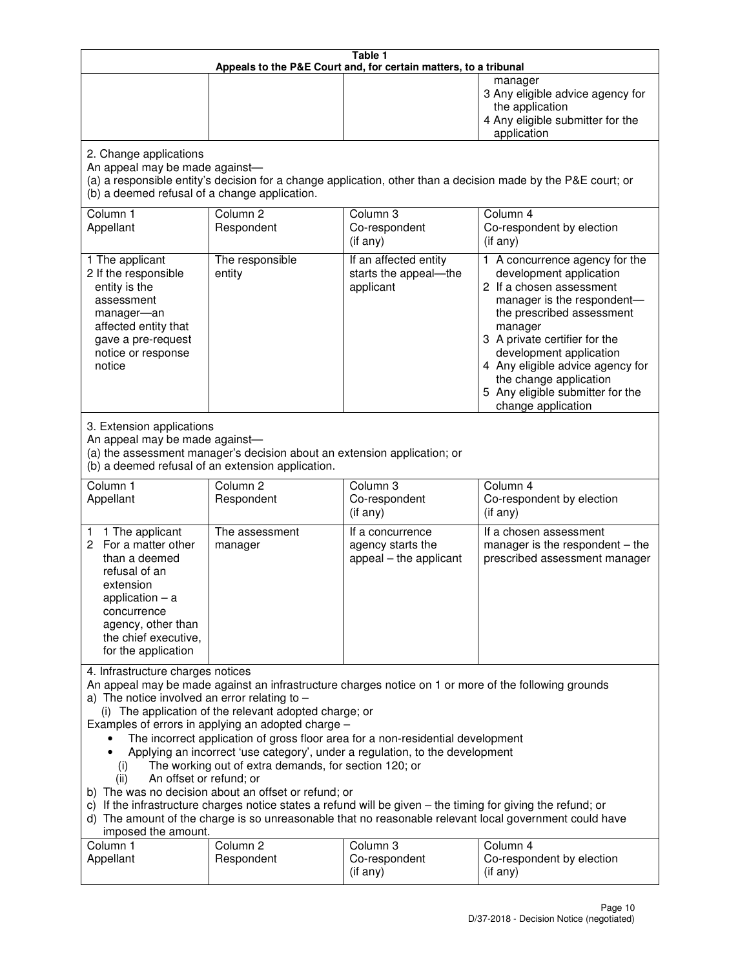| Table 1<br>Appeals to the P&E Court and, for certain matters, to a tribunal                                                                                                                                                                                                                                                                                                                                                                                                                                                                                                                                                                                                                                                                                                                                                                                                                                                                            |                                   |                                                                 |                                                                                                                                                                                                                                                                                                                                                 |  |
|--------------------------------------------------------------------------------------------------------------------------------------------------------------------------------------------------------------------------------------------------------------------------------------------------------------------------------------------------------------------------------------------------------------------------------------------------------------------------------------------------------------------------------------------------------------------------------------------------------------------------------------------------------------------------------------------------------------------------------------------------------------------------------------------------------------------------------------------------------------------------------------------------------------------------------------------------------|-----------------------------------|-----------------------------------------------------------------|-------------------------------------------------------------------------------------------------------------------------------------------------------------------------------------------------------------------------------------------------------------------------------------------------------------------------------------------------|--|
|                                                                                                                                                                                                                                                                                                                                                                                                                                                                                                                                                                                                                                                                                                                                                                                                                                                                                                                                                        |                                   |                                                                 | manager<br>3 Any eligible advice agency for<br>the application<br>4 Any eligible submitter for the<br>application                                                                                                                                                                                                                               |  |
| 2. Change applications<br>An appeal may be made against-<br>(a) a responsible entity's decision for a change application, other than a decision made by the P&E court; or<br>(b) a deemed refusal of a change application.                                                                                                                                                                                                                                                                                                                                                                                                                                                                                                                                                                                                                                                                                                                             |                                   |                                                                 |                                                                                                                                                                                                                                                                                                                                                 |  |
| Column 1<br>Appellant                                                                                                                                                                                                                                                                                                                                                                                                                                                                                                                                                                                                                                                                                                                                                                                                                                                                                                                                  | Column <sub>2</sub><br>Respondent | Column 3<br>Co-respondent<br>(if any)                           | Column 4<br>Co-respondent by election<br>(if any)                                                                                                                                                                                                                                                                                               |  |
| 1 The applicant<br>2 If the responsible<br>entity is the<br>assessment<br>manager-an<br>affected entity that<br>gave a pre-request<br>notice or response<br>notice                                                                                                                                                                                                                                                                                                                                                                                                                                                                                                                                                                                                                                                                                                                                                                                     | The responsible<br>entity         | If an affected entity<br>starts the appeal-the<br>applicant     | 1 A concurrence agency for the<br>development application<br>2 If a chosen assessment<br>manager is the respondent-<br>the prescribed assessment<br>manager<br>3 A private certifier for the<br>development application<br>4 Any eligible advice agency for<br>the change application<br>5 Any eligible submitter for the<br>change application |  |
| 3. Extension applications<br>An appeal may be made against-<br>(a) the assessment manager's decision about an extension application; or<br>(b) a deemed refusal of an extension application.                                                                                                                                                                                                                                                                                                                                                                                                                                                                                                                                                                                                                                                                                                                                                           |                                   |                                                                 |                                                                                                                                                                                                                                                                                                                                                 |  |
| Column 1<br>Appellant                                                                                                                                                                                                                                                                                                                                                                                                                                                                                                                                                                                                                                                                                                                                                                                                                                                                                                                                  | Column <sub>2</sub><br>Respondent | Column 3<br>Co-respondent<br>(if any)                           | Column 4<br>Co-respondent by election<br>(if any)                                                                                                                                                                                                                                                                                               |  |
| 1 1 The applicant<br>2 For a matter other<br>than a deemed<br>refusal of an<br>extension<br>application $-$ a<br>concurrence<br>agency, other than<br>the chief executive,<br>for the application                                                                                                                                                                                                                                                                                                                                                                                                                                                                                                                                                                                                                                                                                                                                                      | The assessment<br>manager         | If a concurrence<br>agency starts the<br>appeal - the applicant | If a chosen assessment<br>manager is the respondent $-$ the<br>prescribed assessment manager                                                                                                                                                                                                                                                    |  |
| 4. Infrastructure charges notices<br>An appeal may be made against an infrastructure charges notice on 1 or more of the following grounds<br>a) The notice involved an error relating to $-$<br>(i) The application of the relevant adopted charge; or<br>Examples of errors in applying an adopted charge -<br>The incorrect application of gross floor area for a non-residential development<br>Applying an incorrect 'use category', under a regulation, to the development<br>The working out of extra demands, for section 120; or<br>(i)<br>An offset or refund; or<br>(ii)<br>b) The was no decision about an offset or refund; or<br>c) If the infrastructure charges notice states a refund will be given – the timing for giving the refund; or<br>d) The amount of the charge is so unreasonable that no reasonable relevant local government could have<br>imposed the amount.<br>Column 1<br>Column <sub>2</sub><br>Column 3<br>Column 4 |                                   |                                                                 |                                                                                                                                                                                                                                                                                                                                                 |  |
| Appellant                                                                                                                                                                                                                                                                                                                                                                                                                                                                                                                                                                                                                                                                                                                                                                                                                                                                                                                                              | Respondent                        | Co-respondent<br>(if any)                                       | Co-respondent by election<br>(if any)                                                                                                                                                                                                                                                                                                           |  |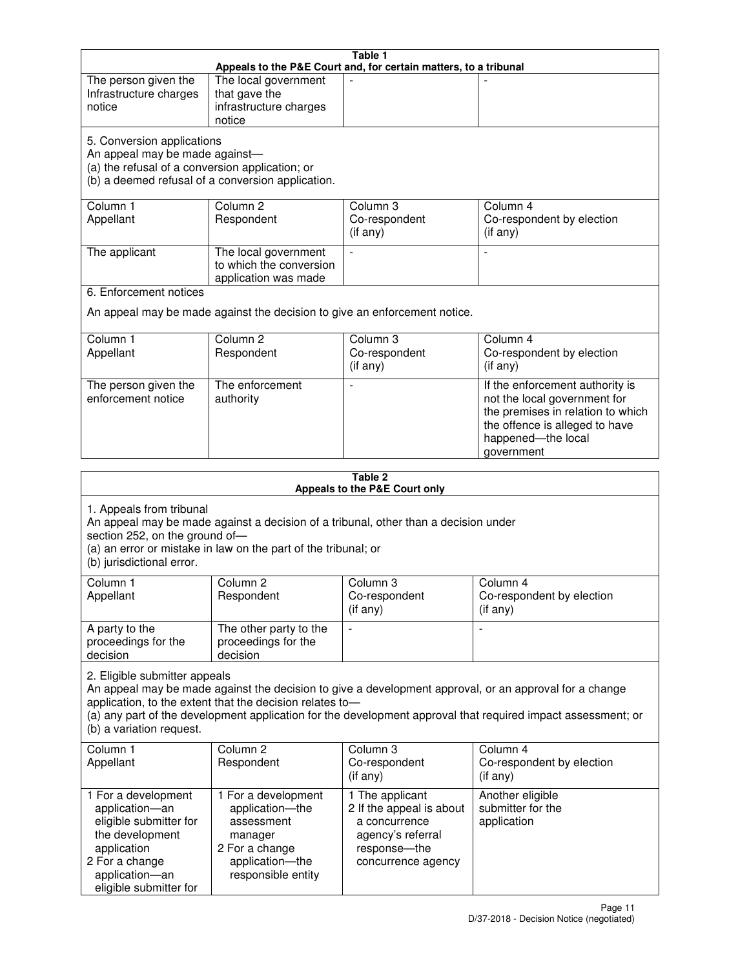| Table 1<br>Appeals to the P&E Court and, for certain matters, to a tribunal                                                                                                                                                                                                                                                                     |                                                                                                                            |                                                                                                                         |                                                                                                                                                                            |  |
|-------------------------------------------------------------------------------------------------------------------------------------------------------------------------------------------------------------------------------------------------------------------------------------------------------------------------------------------------|----------------------------------------------------------------------------------------------------------------------------|-------------------------------------------------------------------------------------------------------------------------|----------------------------------------------------------------------------------------------------------------------------------------------------------------------------|--|
| The person given the<br>Infrastructure charges<br>notice                                                                                                                                                                                                                                                                                        | The local government<br>that gave the<br>infrastructure charges<br>notice                                                  |                                                                                                                         |                                                                                                                                                                            |  |
| 5. Conversion applications<br>An appeal may be made against-<br>(a) the refusal of a conversion application; or                                                                                                                                                                                                                                 | (b) a deemed refusal of a conversion application.                                                                          |                                                                                                                         |                                                                                                                                                                            |  |
| Column 1<br>Appellant                                                                                                                                                                                                                                                                                                                           | Column <sub>2</sub><br>Respondent                                                                                          | Column 3<br>Co-respondent<br>(if any)                                                                                   | Column 4<br>Co-respondent by election<br>(if any)                                                                                                                          |  |
| The applicant                                                                                                                                                                                                                                                                                                                                   | The local government<br>to which the conversion<br>application was made                                                    | $\sim$                                                                                                                  | $\overline{\phantom{a}}$                                                                                                                                                   |  |
| 6. Enforcement notices                                                                                                                                                                                                                                                                                                                          |                                                                                                                            |                                                                                                                         |                                                                                                                                                                            |  |
|                                                                                                                                                                                                                                                                                                                                                 | An appeal may be made against the decision to give an enforcement notice.                                                  |                                                                                                                         |                                                                                                                                                                            |  |
| Column 1<br>Appellant                                                                                                                                                                                                                                                                                                                           | Column <sub>2</sub><br>Respondent                                                                                          | Column 3<br>Co-respondent<br>(if any)                                                                                   | Column 4<br>Co-respondent by election<br>(if any)                                                                                                                          |  |
| The person given the<br>enforcement notice                                                                                                                                                                                                                                                                                                      | The enforcement<br>authority                                                                                               |                                                                                                                         | If the enforcement authority is<br>not the local government for<br>the premises in relation to which<br>the offence is alleged to have<br>happened-the local<br>government |  |
|                                                                                                                                                                                                                                                                                                                                                 |                                                                                                                            | Table 2                                                                                                                 |                                                                                                                                                                            |  |
| Appeals to the P&E Court only<br>1. Appeals from tribunal<br>An appeal may be made against a decision of a tribunal, other than a decision under<br>section 252, on the ground of-<br>(a) an error or mistake in law on the part of the tribunal; or<br>(b) jurisdictional error.                                                               |                                                                                                                            |                                                                                                                         |                                                                                                                                                                            |  |
| Column <sub>1</sub><br>Appellant                                                                                                                                                                                                                                                                                                                | Column 2<br>Respondent                                                                                                     | Column 3<br>Co-respondent<br>$($ if any $)$                                                                             | Column 4<br>Co-respondent by election<br>$($ if any $)$                                                                                                                    |  |
| A party to the<br>proceedings for the<br>decision                                                                                                                                                                                                                                                                                               | The other party to the<br>proceedings for the<br>decision                                                                  | $\blacksquare$                                                                                                          | $\overline{a}$                                                                                                                                                             |  |
| 2. Eligible submitter appeals<br>An appeal may be made against the decision to give a development approval, or an approval for a change<br>application, to the extent that the decision relates to-<br>(a) any part of the development application for the development approval that required impact assessment; or<br>(b) a variation request. |                                                                                                                            |                                                                                                                         |                                                                                                                                                                            |  |
| Column 1<br>Appellant                                                                                                                                                                                                                                                                                                                           | Column <sub>2</sub><br>Respondent                                                                                          | Column 3<br>Co-respondent<br>(if any)                                                                                   | Column 4<br>Co-respondent by election<br>(if any)                                                                                                                          |  |
| 1 For a development<br>application-an<br>eligible submitter for<br>the development<br>application<br>2 For a change<br>application-an<br>eligible submitter for                                                                                                                                                                                 | 1 For a development<br>application-the<br>assessment<br>manager<br>2 For a change<br>application-the<br>responsible entity | 1 The applicant<br>2 If the appeal is about<br>a concurrence<br>agency's referral<br>response-the<br>concurrence agency | Another eligible<br>submitter for the<br>application                                                                                                                       |  |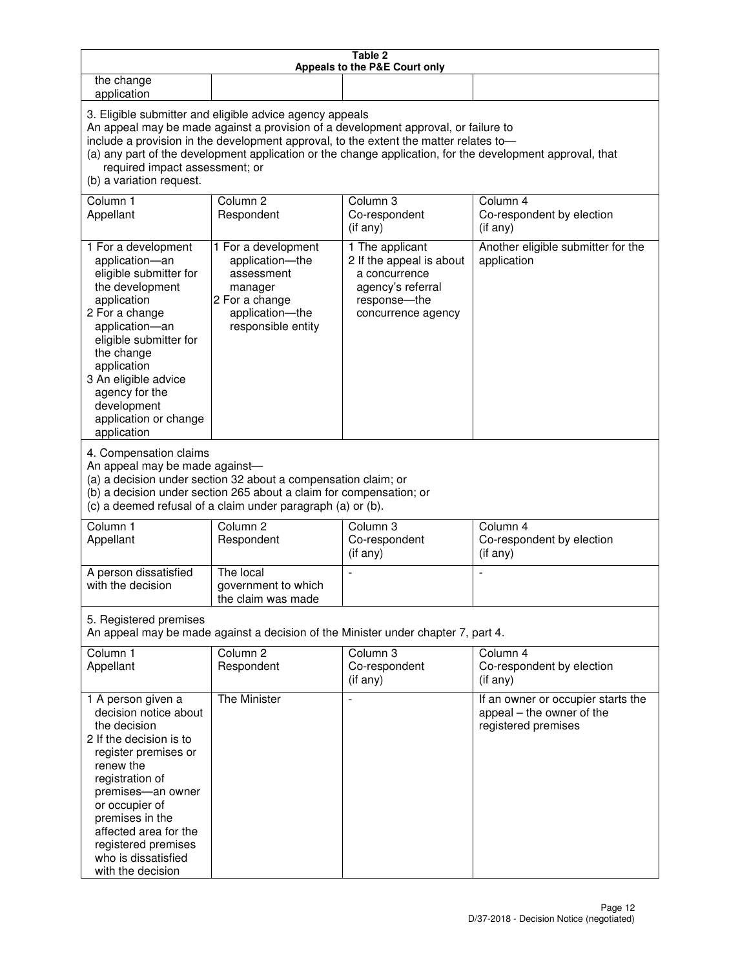| Table 2<br>Appeals to the P&E Court only                                                                                                                                                                                                                                                                                                                                                                           |                                                                                                                            |                                                                                                                         |                                                                                        |  |
|--------------------------------------------------------------------------------------------------------------------------------------------------------------------------------------------------------------------------------------------------------------------------------------------------------------------------------------------------------------------------------------------------------------------|----------------------------------------------------------------------------------------------------------------------------|-------------------------------------------------------------------------------------------------------------------------|----------------------------------------------------------------------------------------|--|
| the change<br>application                                                                                                                                                                                                                                                                                                                                                                                          |                                                                                                                            |                                                                                                                         |                                                                                        |  |
| 3. Eligible submitter and eligible advice agency appeals<br>An appeal may be made against a provision of a development approval, or failure to<br>include a provision in the development approval, to the extent the matter relates to-<br>(a) any part of the development application or the change application, for the development approval, that<br>required impact assessment; or<br>(b) a variation request. |                                                                                                                            |                                                                                                                         |                                                                                        |  |
| Column <sub>1</sub><br>Appellant                                                                                                                                                                                                                                                                                                                                                                                   | Column <sub>2</sub><br>Respondent                                                                                          | Column 3<br>Co-respondent<br>(if any)                                                                                   | Column 4<br>Co-respondent by election<br>(if any)                                      |  |
| 1 For a development<br>application-an<br>eligible submitter for<br>the development<br>application<br>2 For a change<br>application-an<br>eligible submitter for<br>the change<br>application<br>3 An eligible advice<br>agency for the<br>development<br>application or change<br>application                                                                                                                      | 1 For a development<br>application-the<br>assessment<br>manager<br>2 For a change<br>application-the<br>responsible entity | 1 The applicant<br>2 If the appeal is about<br>a concurrence<br>agency's referral<br>response-the<br>concurrence agency | Another eligible submitter for the<br>application                                      |  |
| 4. Compensation claims<br>An appeal may be made against-<br>(a) a decision under section 32 about a compensation claim; or<br>(b) a decision under section 265 about a claim for compensation; or<br>(c) a deemed refusal of a claim under paragraph (a) or (b).                                                                                                                                                   |                                                                                                                            |                                                                                                                         |                                                                                        |  |
| Column <sub>1</sub><br>Appellant                                                                                                                                                                                                                                                                                                                                                                                   | Column <sub>2</sub><br>Respondent                                                                                          | Column 3<br>Co-respondent<br>(if any)                                                                                   | Column 4<br>Co-respondent by election<br>(if any)                                      |  |
| A person dissatisfied<br>with the decision                                                                                                                                                                                                                                                                                                                                                                         | The local<br>government to which<br>the claim was made                                                                     |                                                                                                                         |                                                                                        |  |
| 5. Registered premises<br>An appeal may be made against a decision of the Minister under chapter 7, part 4.                                                                                                                                                                                                                                                                                                        |                                                                                                                            |                                                                                                                         |                                                                                        |  |
| Column <sub>1</sub><br>Appellant                                                                                                                                                                                                                                                                                                                                                                                   | Column <sub>2</sub><br>Respondent                                                                                          | Column 3<br>Co-respondent<br>(if any)                                                                                   | Column 4<br>Co-respondent by election<br>(if any)                                      |  |
| 1 A person given a<br>decision notice about<br>the decision<br>2 If the decision is to<br>register premises or<br>renew the<br>registration of<br>premises-an owner<br>or occupier of<br>premises in the<br>affected area for the<br>registered premises<br>who is dissatisfied<br>with the decision                                                                                                               | The Minister                                                                                                               | $\blacksquare$                                                                                                          | If an owner or occupier starts the<br>appeal – the owner of the<br>registered premises |  |